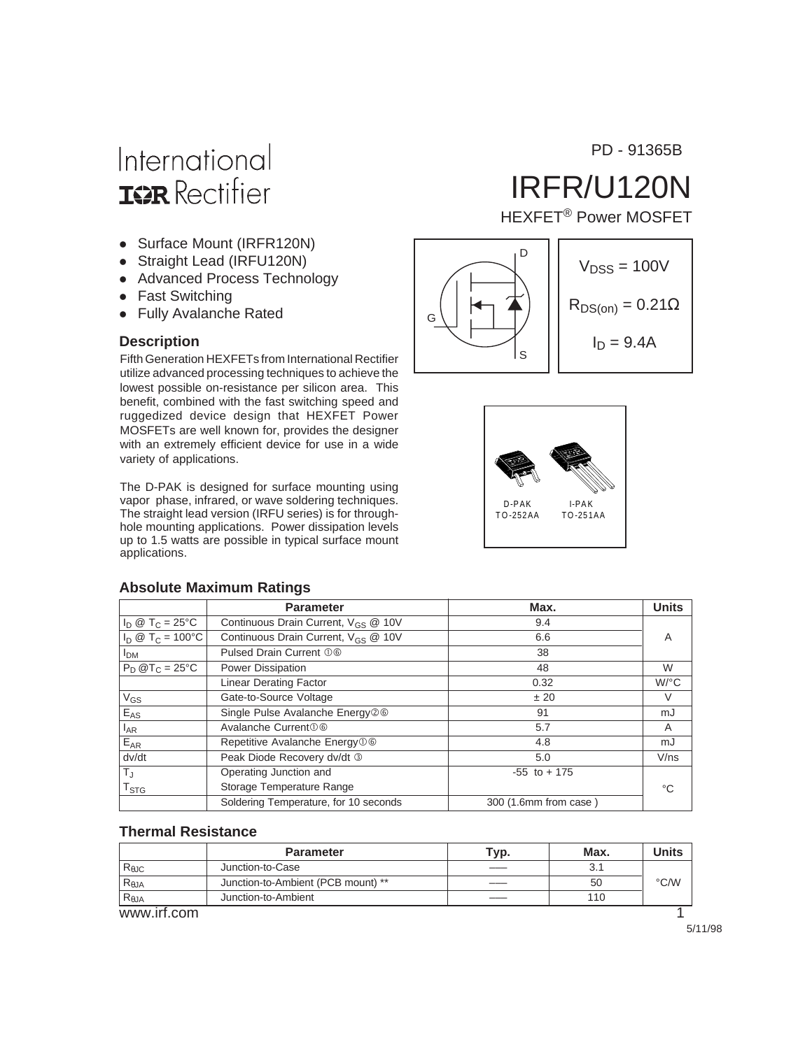# International **IGR** Rectifier

- Surface Mount (IRFR120N)
- Straight Lead (IRFU120N)
- Advanced Process Technology
- Fast Switching
- Fully Avalanche Rated

Fifth Generation HEXFETs from International Rectifier utilize advanced processing techniques to achieve the lowest possible on-resistance per silicon area. This benefit, combined with the fast switching speed and ruggedized device design that HEXFET Power MOSFETs are well known for, provides the designer with an extremely efficient device for use in a wide variety of applications.

The D-PAK is designed for surface mounting using vapor phase, infrared, or wave soldering techniques. The straight lead version (IRFU series) is for throughhole mounting applications. Power dissipation levels up to 1.5 watts are possible in typical surface mount applications.

#### **Absolute Maximum Ratings**

|                           | <b>Parameter</b>                                | Max.                  | <b>Units</b> |
|---------------------------|-------------------------------------------------|-----------------------|--------------|
| $I_D @ T_C = 25^{\circ}C$ | Continuous Drain Current, V <sub>GS</sub> @ 10V | 9.4                   |              |
| $I_D @ T_C = 100°C$       | Continuous Drain Current, V <sub>GS</sub> @ 10V | 6.6                   | A            |
| <b>I</b> <sub>DM</sub>    | Pulsed Drain Current 06                         | 38                    |              |
| $P_D @T_C = 25°C$         | Power Dissipation                               | 48                    | W            |
|                           | <b>Linear Derating Factor</b>                   | 0.32                  | $W$ /°C      |
| $V_{GS}$                  | Gate-to-Source Voltage                          | ± 20                  | V            |
| $E_{AS}$                  | Single Pulse Avalanche Energy26                 | 91                    | mJ           |
| $I_{AR}$                  | Avalanche Current 0 6                           | 5.7                   | A            |
| $E_{AR}$                  | Repetitive Avalanche Energy <sup>O</sup>        | 4.8                   | mJ           |
| dv/dt                     | Peak Diode Recovery dv/dt 3                     | 5.0                   | V/ns         |
| $T_{\rm J}$               | Operating Junction and                          | $-55$ to $+175$       |              |
| $T_{\text{STG}}$          | Storage Temperature Range                       |                       | °C           |
|                           | Soldering Temperature, for 10 seconds           | 300 (1.6mm from case) |              |

#### **Thermal Resistance**

|                | <b>Parameter</b>                   | <sup>т</sup> ур. | Max. | Units |
|----------------|------------------------------------|------------------|------|-------|
| $R_{\theta$ JC | Junction-to-Case                   |                  | 3.1  |       |
| $R_{\theta$ JA | Junction-to-Ambient (PCB mount) ** |                  | 50   | °C/W  |
| $R_{\theta$ JA | Junction-to-Ambient                |                  | 110  |       |
| www.irf.com    |                                    |                  |      |       |

PD - 91365B

# IRFR/U120N

HEXFET® Power MOSFET





5/11/98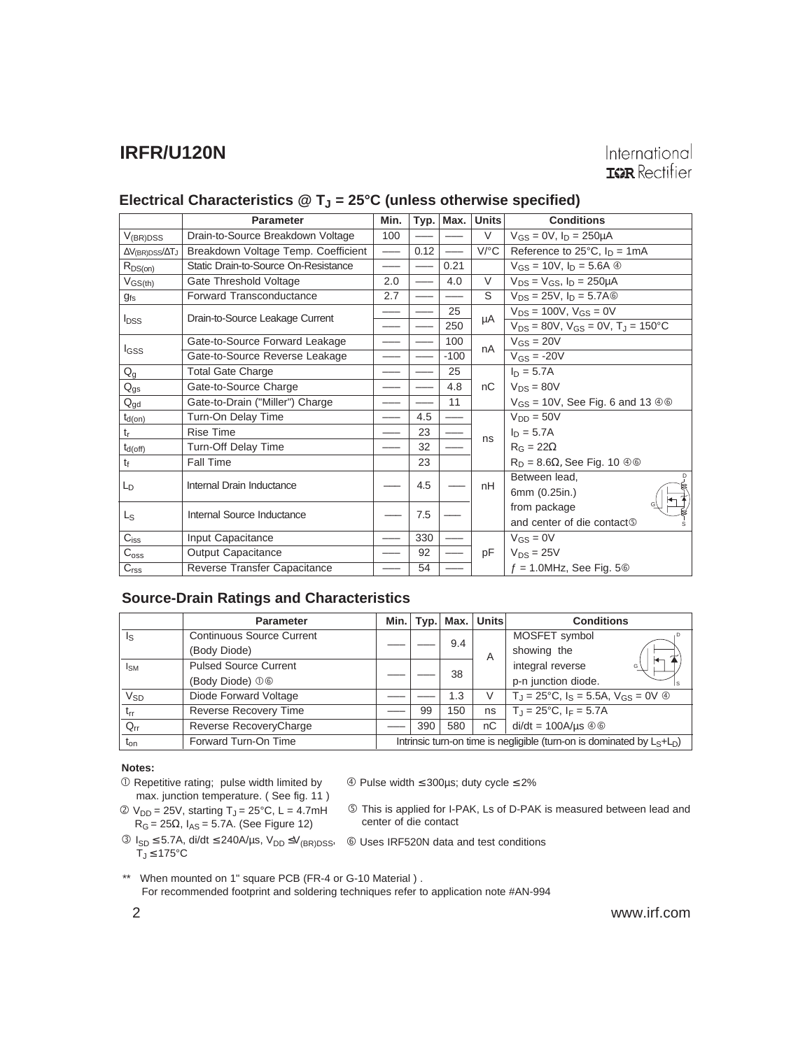#### Electrical Characteristics @ T<sub>J</sub> = 25°C (unless otherwise specified)

|                                        | <b>Parameter</b>                     | Min. | Typ. | Max.   | <b>Units</b> | <b>Conditions</b>                                     |
|----------------------------------------|--------------------------------------|------|------|--------|--------------|-------------------------------------------------------|
| $V_{(BR)DSS}$                          | Drain-to-Source Breakdown Voltage    | 100  |      |        | V            | $V_{GS} = 0V$ , $I_D = 250 \mu A$                     |
| $\Delta V_{(BR)DSS}/\Delta T_J$        | Breakdown Voltage Temp. Coefficient  |      | 0.12 |        | $V$ /°C      | Reference to $25^{\circ}$ C, $I_D = 1 \text{mA}$      |
| $R_{DS(on)}$                           | Static Drain-to-Source On-Resistance |      |      | 0.21   |              | $V_{GS} = 10V$ , $I_D = 5.6A$ $\circledcirc$          |
| $V_{GS(th)}$                           | Gate Threshold Voltage               | 2.0  |      | 4.0    | $\vee$       | $V_{DS} = V_{GS}$ , $I_D = 250 \mu A$                 |
| $g_{fs}$                               | Forward Transconductance             | 2.7  |      |        | S            | $V_{DS} = 25V$ , $I_D = 5.7A$                         |
| <b>I</b> <sub>DSS</sub>                | Drain-to-Source Leakage Current      |      |      | 25     | μA           | $V_{DS} = 100V$ , $V_{GS} = 0V$                       |
|                                        |                                      |      |      | 250    |              | $V_{DS} = 80V$ , $V_{GS} = 0V$ , $T_J = 150^{\circ}C$ |
|                                        | Gate-to-Source Forward Leakage       |      |      | 100    | nA           | $V_{GS} = 20V$                                        |
| I <sub>GSS</sub>                       | Gate-to-Source Reverse Leakage       |      |      | $-100$ |              | $V_{GS} = -20V$                                       |
| $Q_g$                                  | <b>Total Gate Charge</b>             |      |      | 25     |              | $I_D = 5.7A$                                          |
| $Q_{gs}$                               | Gate-to-Source Charge                |      |      | 4.8    | nC           | $V_{DS} = 80V$                                        |
| $\mathsf{Q}_{\underline{\mathsf{gd}}}$ | Gate-to-Drain ("Miller") Charge      |      |      | 11     |              | $V_{GS}$ = 10V, See Fig. 6 and 13 $\circledcirc$      |
| $t_{d(on)}$                            | Turn-On Delay Time                   |      | 4.5  |        |              | $V_{DD} = 50V$                                        |
| $\mathfrak{t}_{\mathsf{r}}$            | <b>Rise Time</b>                     |      | 23   |        | ns           | $I_D = 5.7A$                                          |
| $t_{d(off)}$                           | Turn-Off Delay Time                  |      | 32   |        |              | $R_G = 22\Omega$                                      |
| $t_{\rm f}$                            | Fall Time                            |      | 23   |        |              | $R_D = 8.6\Omega$ , See Fig. 10 $\oplus \oplus$       |
| $L_{D}$                                | Internal Drain Inductance            |      | 4.5  |        | nH           | Between lead,                                         |
|                                        |                                      |      |      |        |              | 6mm (0.25in.)                                         |
| $L_{S}$                                | Internal Source Inductance           |      | 7.5  |        |              | from package                                          |
|                                        |                                      |      |      |        |              | and center of die contact <sup>®</sup>                |
| C <sub>iss</sub>                       | Input Capacitance                    |      | 330  |        |              | $V_{GS} = 0V$                                         |
| $C_{\text{oss}}$                       | Output Capacitance                   |      | 92   |        | pF           | $V_{DS} = 25V$                                        |
| C <sub>rss</sub>                       | Reverse Transfer Capacitance         |      | 54   |        |              | $f = 1.0$ MHz, See Fig. 5 $\circledcirc$              |

#### **Source-Drain Ratings and Characteristics**

|                       | <b>Parameter</b>                 | Min.                                                                      |     | Typ. Max. | <b>Units</b> | <b>Conditions</b>                                                     |
|-----------------------|----------------------------------|---------------------------------------------------------------------------|-----|-----------|--------------|-----------------------------------------------------------------------|
| ls                    | <b>Continuous Source Current</b> |                                                                           |     | 9.4       |              | MOSFET symbol                                                         |
|                       | (Body Diode)                     |                                                                           |     |           | A            | showing the                                                           |
| <sub>ISM</sub>        | <b>Pulsed Source Current</b>     |                                                                           |     |           |              | integral reverse<br>G                                                 |
|                       | (Body Diode) 06                  |                                                                           |     | 38        |              | p-n junction diode.                                                   |
| <b>V<sub>SD</sub></b> | Diode Forward Voltage            |                                                                           |     | 1.3       | V            | $T_{\rm J}$ = 25°C, $I_{\rm S}$ = 5.5A, $V_{\rm GS}$ = 0V $\circledA$ |
| $t_{rr}$              | <b>Reverse Recovery Time</b>     |                                                                           | 99  | 150       | ns           | $T_{\rm J} = 25^{\circ}$ C, I <sub>F</sub> = 5.7A                     |
| $Q_{rr}$              | Reverse RecoveryCharge           |                                                                           | 390 | 580       | nC           | $di/dt = 100A/\mu s \oplus 0$                                         |
| t <sub>on</sub>       | Forward Turn-On Time             | Intrinsic turn-on time is negligible (turn-on is dominated by $L_S+L_D$ ) |     |           |              |                                                                       |

#### **Notes:**

- Repetitive rating; pulse width limited by max. junction temperature. ( See fig. 11 )
- $\textcircled{2}$  V<sub>DD</sub> = 25V, starting T<sub>J</sub> = 25°C, L = 4.7mH  $R_G = 25\Omega$ ,  $I_{AS} = 5.7$ A. (See Figure 12)

Pulse width ≤ 300µs; duty cycle ≤ 2%

- This is applied for I-PAK, Ls of D-PAK is measured between lead and center of die contact
- ISD ≤ 5.7A, di/dt ≤ 240A/µs, VDD ≤V(BR)DSS, Uses IRF520N data and test conditions  $T_J \leq 175^{\circ}$ C
	-

\*\* When mounted on 1" square PCB (FR-4 or G-10 Material ) .

For recommended footprint and soldering techniques refer to application note #AN-994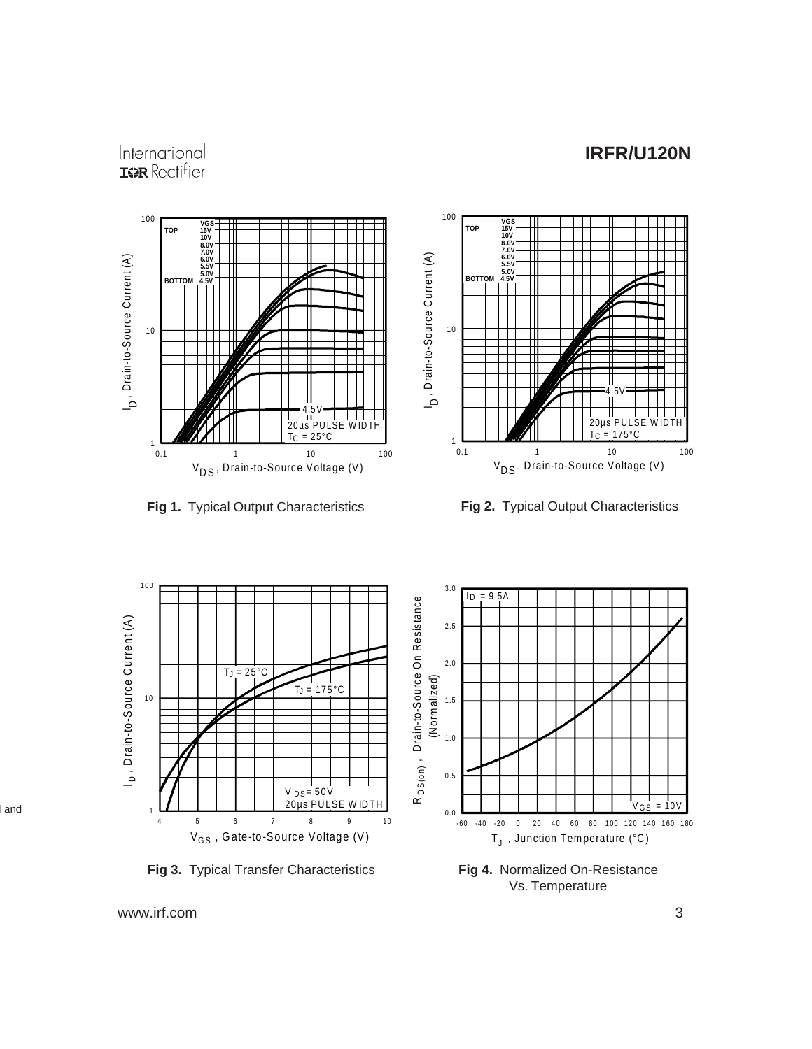#### International **IGR** Rectifier





**Fig 1.** Typical Output Characteristics **Fig 2.** Typical Output Characteristics



**Fig 3.** Typical Transfer Characteristics **Fig 4.** Normalized On-Resistance

Vs. Temperature

www.irf.com 3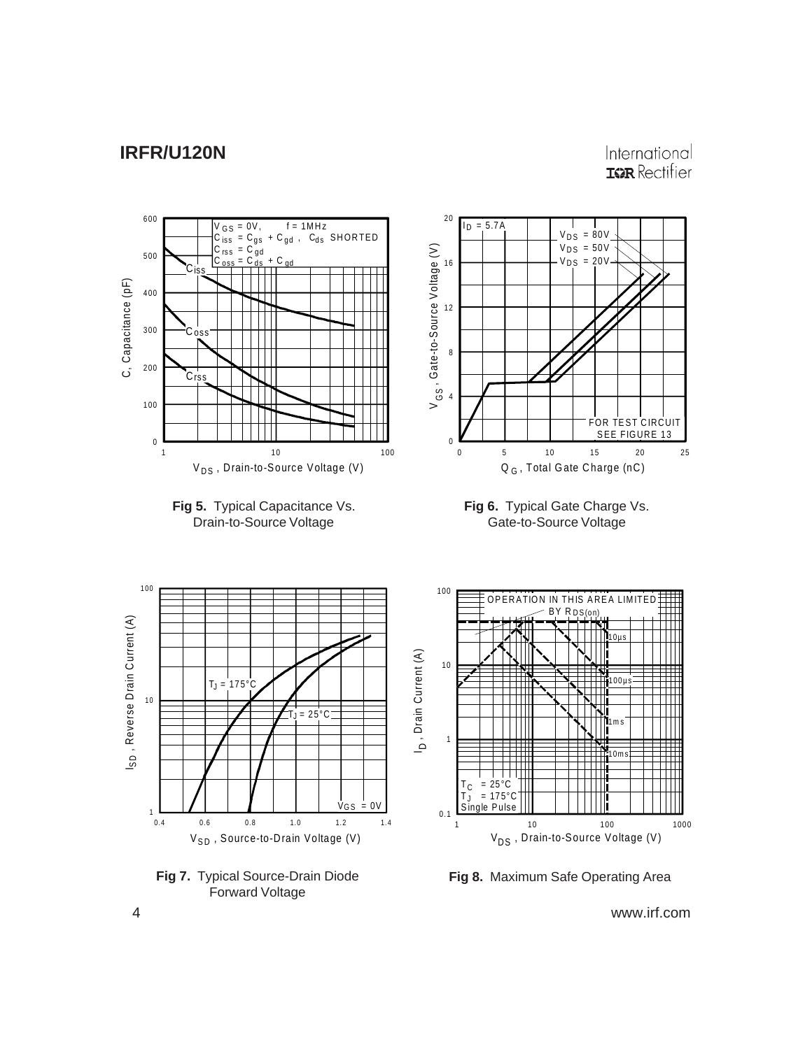International **IGR** Rectifier



**Fig 8.** Maximum Safe Operating Area

4 www.irf.com

Forward Voltage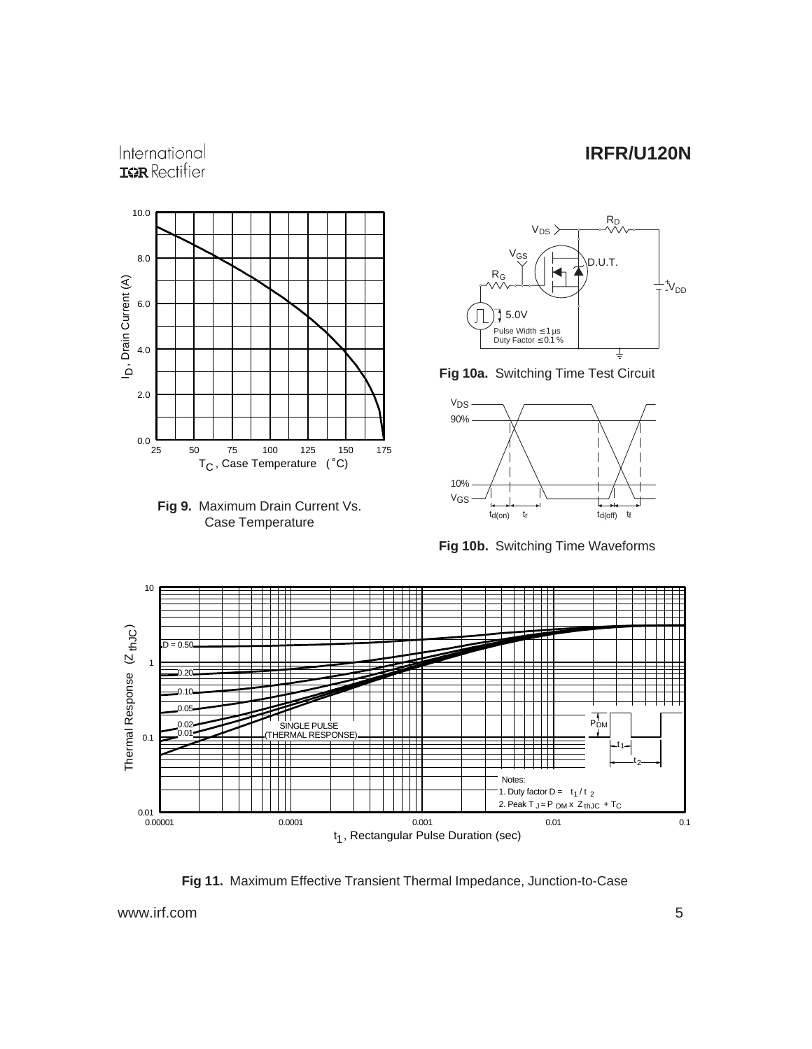### International **IGR** Rectifier







**Fig 10a.** Switching Time Test Circuit



**Fig 10b.** Switching Time Waveforms



**Fig 11.** Maximum Effective Transient Thermal Impedance, Junction-to-Case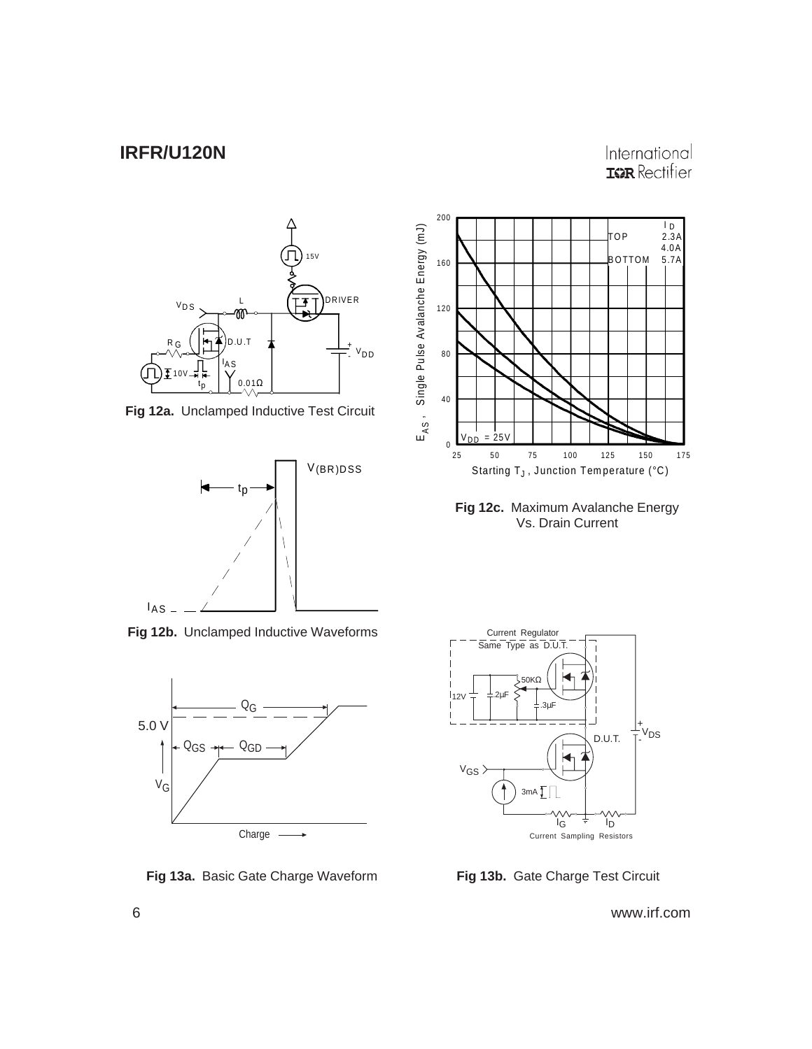### International **IGR** Rectifier



**Fig 12a.** Unclamped Inductive Test Circuit



**Fig 12b.** Unclamped Inductive Waveforms



**Fig 13a.** Basic Gate Charge Waveform **Fig 13b.** Gate Charge Test Circuit



**Fig 12c.** Maximum Avalanche Energy Vs. Drain Current

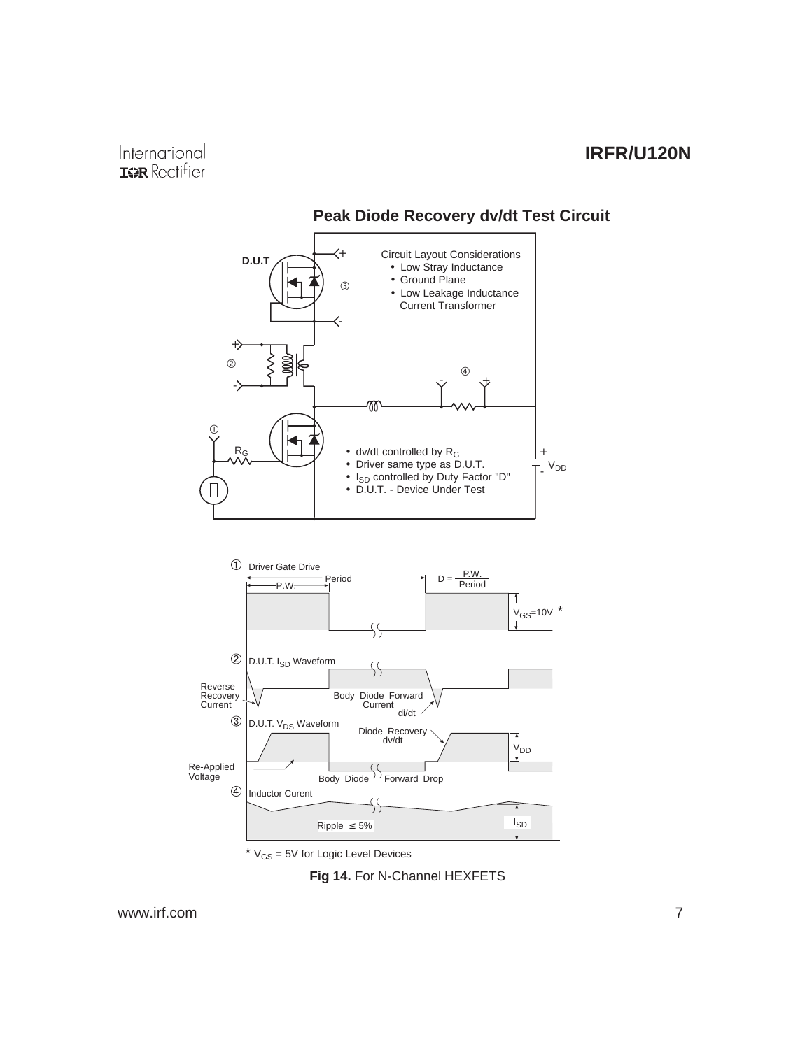

#### **Peak Diode Recovery dv/dt Test Circuit**

 $*$   $V_{GS}$  = 5V for Logic Level Devices

**Fig 14.** For N-Channel HEXFETS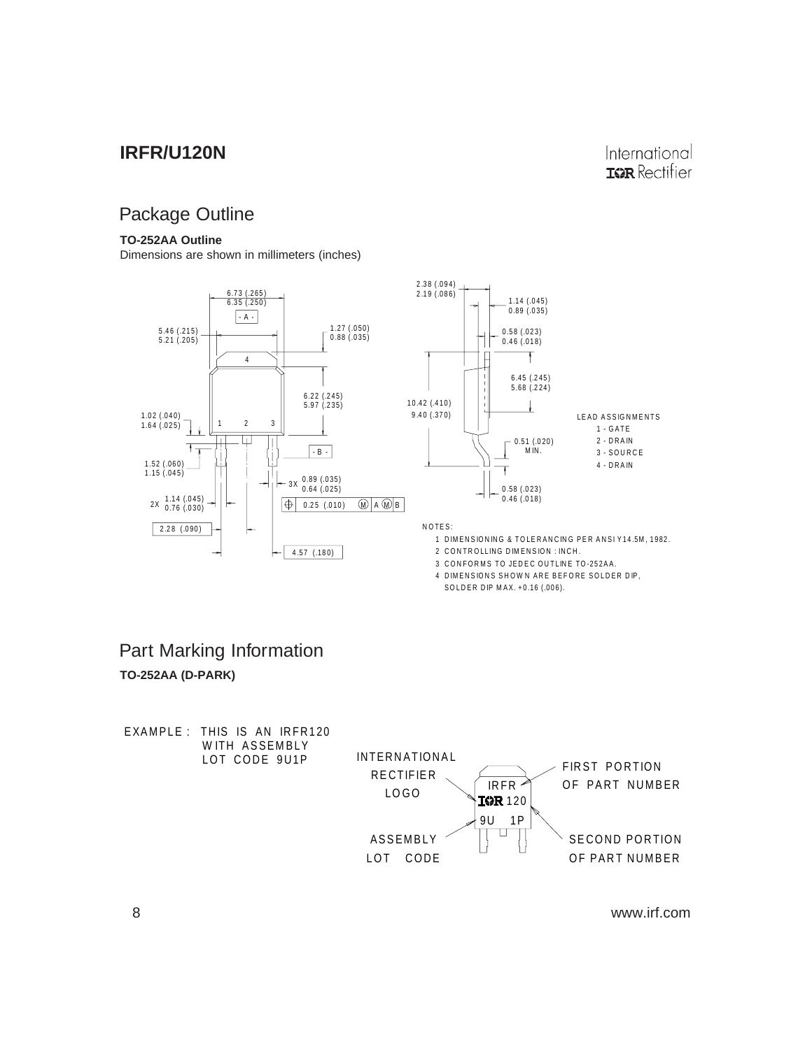# Package Outline

#### **TO-252AA Outline**

Dimensions are shown in millimeters (inches)



#### SOLDER DIP MAX. +0.16 (.006).

# **TO-252AA (D-PARK)** Part Marking Information

EXAMPLE : THIS IS AN IRFR120 WITH ASSEMBLY<br>LOT CODE 9U1P INTERNATIONAL FIRST PORTION RECTIFIER IRFR OF PART NUMBER LOGO **10R** 120 9U 1P U ASSEMBLY SECOND PORTION LOT CODE OF PART NUMBER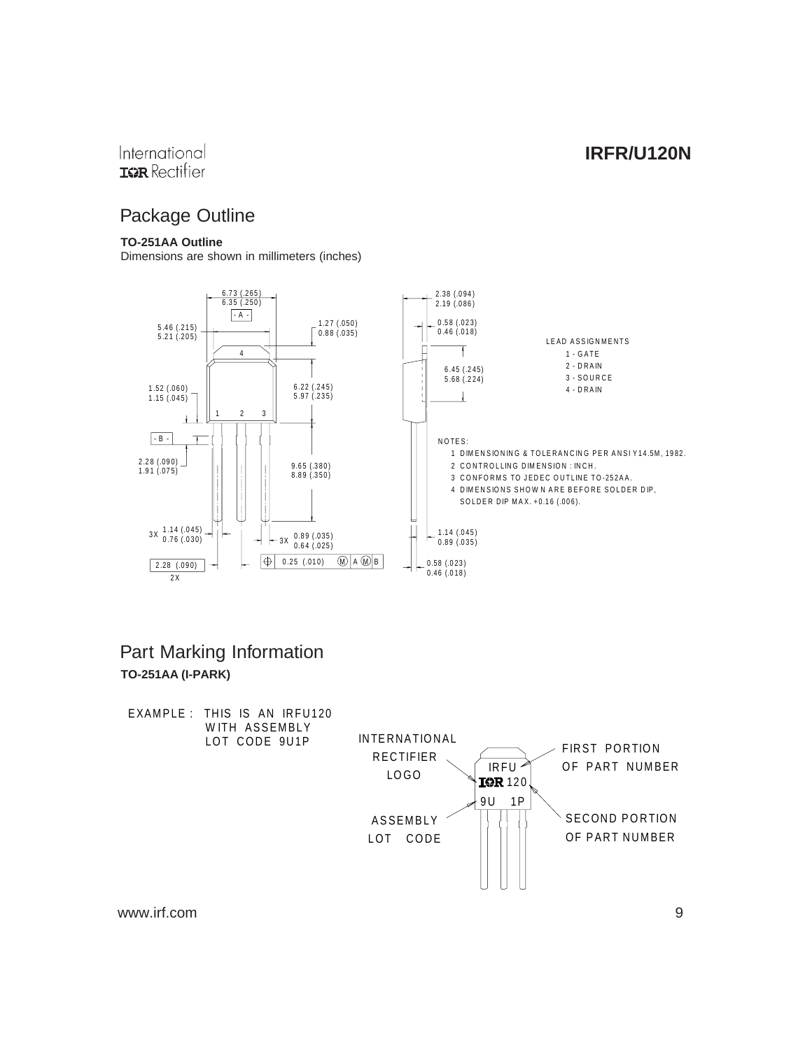#### International **IGR** Rectifier

# Package Outline

#### **TO-251AA Outline**

Dimensions are shown in millimeters (inches)



### **TO-251AA (I-PARK)** Part Marking Information